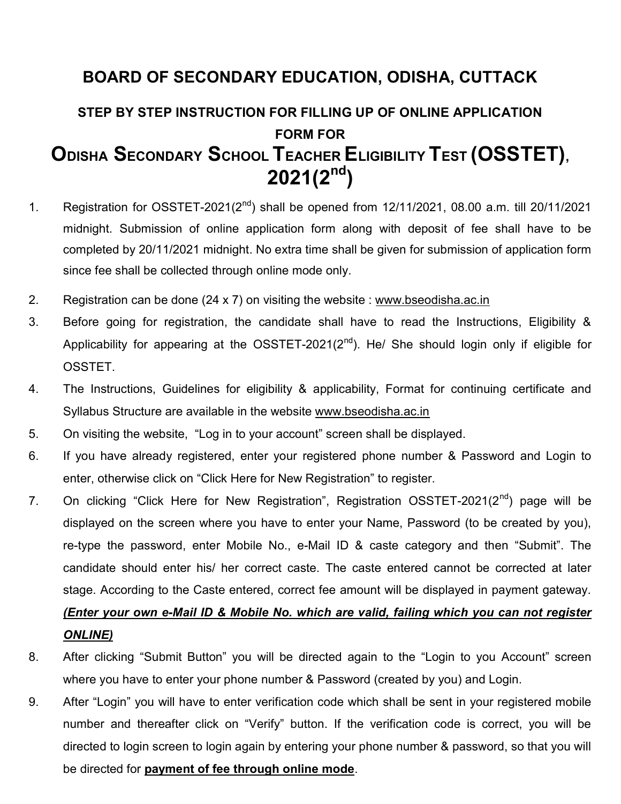## BOARD OF SECONDARY EDUCATION, ODISHA, CUTTACK

## STEP BY STEP INSTRUCTION FOR FILLING UP OF ONLINE APPLICATION FORM FOR ODISHA SECONDARY SCHOOL TEACHER ELIGIBILITY TEST (OSSTET),  $2021(2<sup>nd</sup>)$

- 1. Registration for OSSTET-2021( $2^{nd}$ ) shall be opened from 12/11/2021, 08.00 a.m. till 20/11/2021 midnight. Submission of online application form along with deposit of fee shall have to be completed by 20/11/2021 midnight. No extra time shall be given for submission of application form since fee shall be collected through online mode only.
- 2. Registration can be done (24 x 7) on visiting the website : www.bseodisha.ac.in
- 3. Before going for registration, the candidate shall have to read the Instructions, Eligibility & Applicability for appearing at the OSSTET-2021( $2<sup>nd</sup>$ ). He/ She should login only if eligible for OSSTET.
- 4. The Instructions, Guidelines for eligibility & applicability, Format for continuing certificate and Syllabus Structure are available in the website www.bseodisha.ac.in
- 5. On visiting the website, "Log in to your account" screen shall be displayed.
- 6. If you have already registered, enter your registered phone number & Password and Login to enter, otherwise click on "Click Here for New Registration" to register.
- 7. On clicking "Click Here for New Registration", Registration OSSTET-2021(2<sup>nd</sup>) page will be displayed on the screen where you have to enter your Name, Password (to be created by you), re-type the password, enter Mobile No., e-Mail ID & caste category and then "Submit". The candidate should enter his/ her correct caste. The caste entered cannot be corrected at later stage. According to the Caste entered, correct fee amount will be displayed in payment gateway.

## (Enter your own e-Mail ID & Mobile No. which are valid, failing which you can not register ONLINE)

- 8. After clicking "Submit Button" you will be directed again to the "Login to you Account" screen where you have to enter your phone number & Password (created by you) and Login.
- 9. After "Login" you will have to enter verification code which shall be sent in your registered mobile number and thereafter click on "Verify" button. If the verification code is correct, you will be directed to login screen to login again by entering your phone number & password, so that you will be directed for payment of fee through online mode.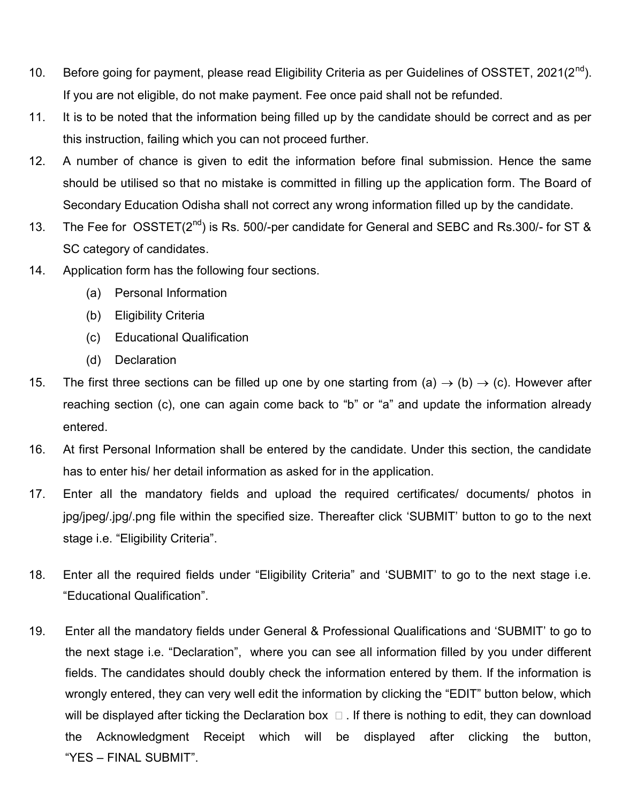- 10. Before going for payment, please read Eligibility Criteria as per Guidelines of OSSTET, 2021(2<sup>nd</sup>). If you are not eligible, do not make payment. Fee once paid shall not be refunded.
- 11. It is to be noted that the information being filled up by the candidate should be correct and as per this instruction, failing which you can not proceed further.
- 12. A number of chance is given to edit the information before final submission. Hence the same should be utilised so that no mistake is committed in filling up the application form. The Board of Secondary Education Odisha shall not correct any wrong information filled up by the candidate.
- 13. The Fee for  $OSSTET(2^{nd})$  is Rs. 500/-per candidate for General and SEBC and Rs.300/- for ST & SC category of candidates.
- 14. Application form has the following four sections.
	- (a) Personal Information
	- (b) Eligibility Criteria
	- (c) Educational Qualification
	- (d) Declaration
- 15. The first three sections can be filled up one by one starting from (a)  $\rightarrow$  (b)  $\rightarrow$  (c). However after reaching section (c), one can again come back to "b" or "a" and update the information already entered.
- 16. At first Personal Information shall be entered by the candidate. Under this section, the candidate has to enter his/ her detail information as asked for in the application.
- 17. Enter all the mandatory fields and upload the required certificates/ documents/ photos in jpg/jpeg/.jpg/.png file within the specified size. Thereafter click 'SUBMIT' button to go to the next stage i.e. "Eligibility Criteria".
- 18. Enter all the required fields under "Eligibility Criteria" and 'SUBMIT' to go to the next stage i.e. "Educational Qualification".
- 19. Enter all the mandatory fields under General & Professional Qualifications and 'SUBMIT' to go to the next stage i.e. "Declaration", where you can see all information filled by you under different fields. The candidates should doubly check the information entered by them. If the information is wrongly entered, they can very well edit the information by clicking the "EDIT" button below, which will be displayed after ticking the Declaration box  $\Box$ . If there is nothing to edit, they can download the Acknowledgment Receipt which will be displayed after clicking the button, "YES – FINAL SUBMIT".